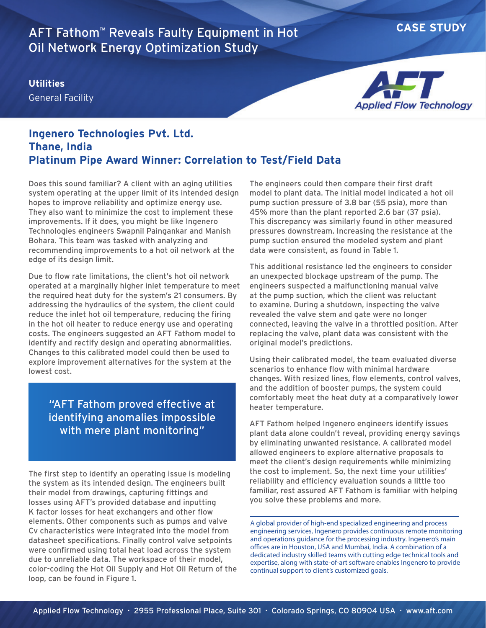## **CASE STUDY** AFT Fathom™ Reveals Faulty Equipment in Hot Oil Network Energy Optimization Study

**Utilities** General Facility



## **Ingenero Technologies Pvt. Ltd. Thane, India Platinum Pipe Award Winner: Correlation to Test/Field Data**

Does this sound familiar? A client with an aging utilities system operating at the upper limit of its intended design hopes to improve reliability and optimize energy use. They also want to minimize the cost to implement these improvements. If it does, you might be like Ingenero Technologies engineers Swapnil Paingankar and Manish Bohara. This team was tasked with analyzing and recommending improvements to a hot oil network at the edge of its design limit.

Due to flow rate limitations, the client's hot oil network operated at a marginally higher inlet temperature to meet the required heat duty for the system's 21 consumers. By addressing the hydraulics of the system, the client could reduce the inlet hot oil temperature, reducing the firing in the hot oil heater to reduce energy use and operating costs. The engineers suggested an AFT Fathom model to identify and rectify design and operating abnormalities. Changes to this calibrated model could then be used to explore improvement alternatives for the system at the lowest cost.

"AFT Fathom proved effective at identifying anomalies impossible with mere plant monitoring"

The first step to identify an operating issue is modeling the system as its intended design. The engineers built their model from drawings, capturing fittings and losses using AFT's provided database and inputting K factor losses for heat exchangers and other flow elements. Other components such as pumps and valve Cv characteristics were integrated into the model from datasheet specifications. Finally control valve setpoints were confirmed using total heat load across the system due to unreliable data. The workspace of their model, color-coding the Hot Oil Supply and Hot Oil Return of the loop, can be found in Figure 1.

The engineers could then compare their first draft model to plant data. The initial model indicated a hot oil pump suction pressure of 3.8 bar (55 psia), more than 45% more than the plant reported 2.6 bar (37 psia). This discrepancy was similarly found in other measured pressures downstream. Increasing the resistance at the pump suction ensured the modeled system and plant data were consistent, as found in Table 1.

This additional resistance led the engineers to consider an unexpected blockage upstream of the pump. The engineers suspected a malfunctioning manual valve at the pump suction, which the client was reluctant to examine. During a shutdown, inspecting the valve revealed the valve stem and gate were no longer connected, leaving the valve in a throttled position. After replacing the valve, plant data was consistent with the original model's predictions.

Using their calibrated model, the team evaluated diverse scenarios to enhance flow with minimal hardware changes. With resized lines, flow elements, control valves, and the addition of booster pumps, the system could comfortably meet the heat duty at a comparatively lower heater temperature.

AFT Fathom helped Ingenero engineers identify issues plant data alone couldn't reveal, providing energy savings by eliminating unwanted resistance. A calibrated model allowed engineers to explore alternative proposals to meet the client's design requirements while minimizing the cost to implement. So, the next time your utilities' reliability and efficiency evaluation sounds a little too familiar, rest assured AFT Fathom is familiar with helping you solve these problems and more.

A global provider of high-end specialized engineering and process engineering services, Ingenero provides continuous remote monitoring and operations guidance for the processing industry. Ingenero's main offices are in Houston, USA and Mumbai, India. A combination of a dedicated industry skilled teams with cutting edge technical tools and expertise, along with state-of-art software enables Ingenero to provide continual support to client's customized goals.